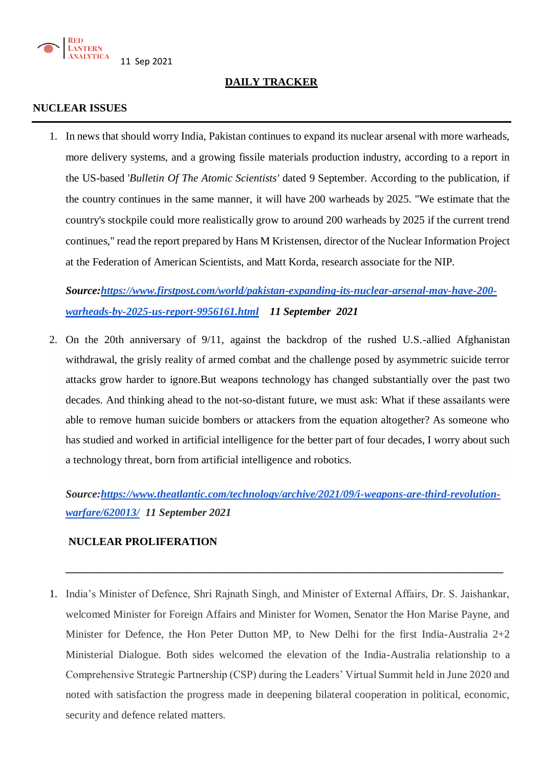

**DAILY TRACKER**

### **NUCLEAR ISSUES**

1. In news that should worry India, Pakistan continues to expand its nuclear arsenal with more warheads, more delivery systems, and a growing fissile materials production industry, according to a report in the US-based '*[Bulletin Of The Atomic Scientists'](https://thebulletin.org/premium/2021-09/nuclear-notebook-how-many-nuclear-weapons-does-pakistan-have-in-2021/)* dated 9 September. According to the publication, if the country continues in the same manner, it will have 200 warheads by 2025. "We estimate that the country's stockpile could more realistically grow to around 200 warheads by 2025 if the current trend continues," read the report prepared by Hans M Kristensen, director of the Nuclear Information Project at the Federation of American Scientists, and Matt Korda, research associate for the NIP.

*Source[:https://www.firstpost.com/world/pakistan-expanding-its-nuclear-arsenal-may-have-200](https://www.firstpost.com/world/pakistan-expanding-its-nuclear-arsenal-may-have-200-warheads-by-2025-us-report-9956161.html) [warheads-by-2025-us-report-9956161.html](https://www.firstpost.com/world/pakistan-expanding-its-nuclear-arsenal-may-have-200-warheads-by-2025-us-report-9956161.html) 11 September 2021*

2. On the 20th anniversary of 9/11, against the backdrop of the rushed U.S.-allied Afghanistan withdrawal, the grisly reality of armed combat and the challenge posed by asymmetric suicide terror attacks grow harder to ignore.But weapons technology has changed substantially over the past two decades. And thinking ahead to the not-so-distant future, we must ask: What if these assailants were able to remove human suicide bombers or attackers from the equation altogether? As someone who has studied and worked in [artificial intelligence](https://www.theatlantic.com/technology/archive/2017/04/how-ai-will-redefine-human-intelligence/522678/) for the better part of four decades, I worry about such a technology threat, born from artificial intelligence and robotics.

*Source[:https://www.theatlantic.com/technology/archive/2021/09/i-weapons-are-third-revolution](https://www.theatlantic.com/technology/archive/2021/09/i-weapons-are-third-revolution-warfare/620013/)[warfare/620013/](https://www.theatlantic.com/technology/archive/2021/09/i-weapons-are-third-revolution-warfare/620013/) 11 September 2021*

**\_\_\_\_\_\_\_\_\_\_\_\_\_\_\_\_\_\_\_\_\_\_\_\_\_\_\_\_\_\_\_\_\_\_\_\_\_\_\_\_\_\_\_\_\_\_\_\_\_\_\_\_\_\_\_\_\_\_\_\_\_\_\_\_\_\_\_\_\_\_\_\_\_\_\_\_\_\_\_\_**

# **NUCLEAR PROLIFERATION**

1. India's Minister of Defence, Shri Rajnath Singh, and Minister of External Affairs, Dr. S. Jaishankar, welcomed Minister for Foreign Affairs and Minister for Women, Senator the Hon Marise Payne, and Minister for Defence, the Hon Peter Dutton MP, to New Delhi for the first India-Australia 2+2 Ministerial Dialogue. Both sides welcomed the elevation of the India-Australia relationship to a Comprehensive Strategic Partnership (CSP) during the Leaders' Virtual Summit held in June 2020 and noted with satisfaction the progress made in deepening bilateral cooperation in political, economic, security and defence related matters.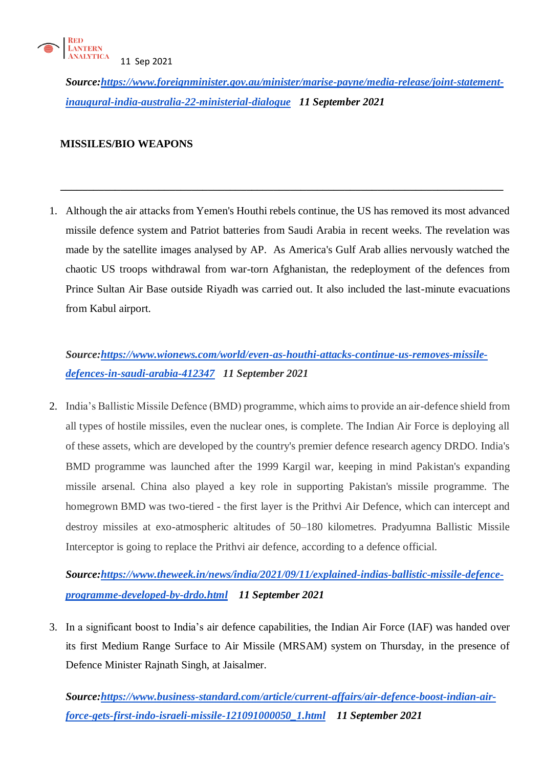

*Source[:https://www.foreignminister.gov.au/minister/marise-payne/media-release/joint-statement](https://www.foreignminister.gov.au/minister/marise-payne/media-release/joint-statement-inaugural-india-australia-22-ministerial-dialogue)[inaugural-india-australia-22-ministerial-dialogue](https://www.foreignminister.gov.au/minister/marise-payne/media-release/joint-statement-inaugural-india-australia-22-ministerial-dialogue) 11 September 2021*

## **MISSILES/BIO WEAPONS**

1. Although the air attacks from Yemen's Houthi rebels continue, the US has removed its most advanced missile defence system and Patriot batteries from Saudi Arabia in recent weeks. The revelation was made by the satellite images analysed by AP. As America's Gulf Arab allies nervously watched the chaotic US troops withdrawal from war-torn Afghanistan, the redeployment of the defences from Prince Sultan Air Base outside Riyadh was carried out. It also included the last-minute evacuations from Kabul airport.

 **\_\_\_\_\_\_\_\_\_\_\_\_\_\_\_\_\_\_\_\_\_\_\_\_\_\_\_\_\_\_\_\_\_\_\_\_\_\_\_\_\_\_\_\_\_\_\_\_\_\_\_\_\_\_\_\_\_\_\_\_\_\_\_\_\_\_\_\_\_\_\_\_\_\_\_\_\_\_\_\_\_**

*Source[:https://www.wionews.com/world/even-as-houthi-attacks-continue-us-removes-missile](https://www.wionews.com/world/even-as-houthi-attacks-continue-us-removes-missile-defences-in-saudi-arabia-412347)[defences-in-saudi-arabia-412347](https://www.wionews.com/world/even-as-houthi-attacks-continue-us-removes-missile-defences-in-saudi-arabia-412347) 11 September 2021* 

2. India's Ballistic Missile Defence (BMD) programme, which aims to provide an air-defence shield from all types of hostile missiles, even the nuclear ones, is complete. The Indian Air Force is deploying all of these assets, which are developed by the country's premier defence research agency DRDO. India's BMD programme was launched after the 1999 Kargil war, keeping in mind Pakistan's expanding missile arsenal. China also played a key role in supporting Pakistan's missile programme. The homegrown BMD was two-tiered - the first layer is the Prithvi Air Defence, which can intercept and destroy missiles at exo-atmospheric altitudes of 50–180 kilometres. Pradyumna Ballistic Missile Interceptor is going to replace the Prithvi air defence, according to a defence official.

*Source[:https://www.theweek.in/news/india/2021/09/11/explained-indias-ballistic-missile-defence](https://www.theweek.in/news/india/2021/09/11/explained-indias-ballistic-missile-defence-programme-developed-by-drdo.html)[programme-developed-by-drdo.html](https://www.theweek.in/news/india/2021/09/11/explained-indias-ballistic-missile-defence-programme-developed-by-drdo.html) 11 September 2021*

3. In a significant boost to India's [air defence c](https://www.business-standard.com/topic/air-defence)apabilities, the [Indian Air Force \(](https://www.business-standard.com/topic/indian-air-force)IAF) was handed over its first Medium Range Surface to Air Missile (MRSAM) system on Thursday, in the presence of Defence Minister Rajnath Singh, at Jaisalmer.

*Source[:https://www.business-standard.com/article/current-affairs/air-defence-boost-indian-air](https://www.business-standard.com/article/current-affairs/air-defence-boost-indian-air-force-gets-first-indo-israeli-missile-121091000050_1.html)[force-gets-first-indo-israeli-missile-121091000050\\_1.html](https://www.business-standard.com/article/current-affairs/air-defence-boost-indian-air-force-gets-first-indo-israeli-missile-121091000050_1.html) 11 September 2021*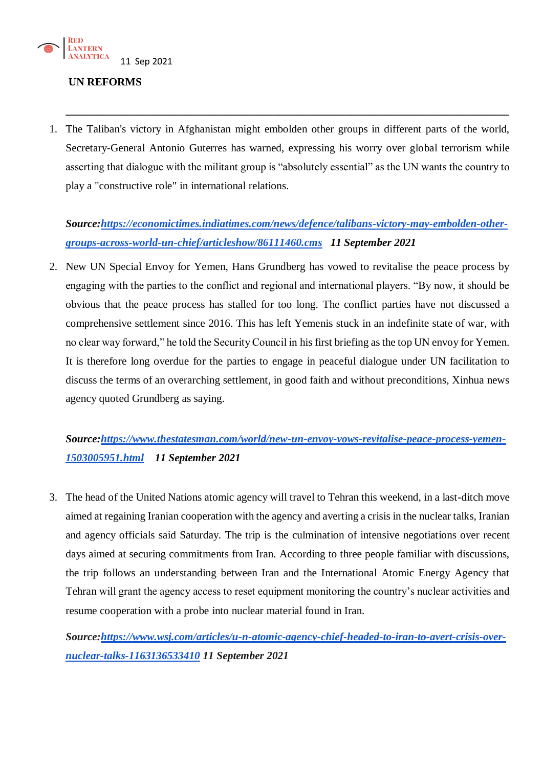

### **UN REFORMS**

1. The Taliban's victory in Afghanistan might embolden other groups in different parts of the world, Secretary-General Antonio Guterres has warned, expressing his worry over global terrorism while asserting that dialogue with the militant group is "absolutely essential" as the UN wants the country to play a "constructive role" in international relations.

**\_\_\_\_\_\_\_\_\_\_\_\_\_\_\_\_\_\_\_\_\_\_\_\_\_\_\_\_\_\_\_\_\_\_\_\_\_\_\_\_\_\_\_\_\_\_\_\_\_\_\_\_\_\_\_\_\_\_\_\_\_\_\_\_\_\_\_\_\_\_\_\_\_\_\_\_\_\_\_\_\_**

*Source[:https://economictimes.indiatimes.com/news/defence/talibans-victory-may-embolden-other](https://economictimes.indiatimes.com/news/defence/talibans-victory-may-embolden-other-groups-across-world-un-chief/articleshow/86111460.cms)[groups-across-world-un-chief/articleshow/86111460.cms](https://economictimes.indiatimes.com/news/defence/talibans-victory-may-embolden-other-groups-across-world-un-chief/articleshow/86111460.cms) 11 September 2021*

2. New UN Special Envoy for Yemen, Hans Grundberg has vowed to revitalise the peace process by engaging with the parties to the conflict and regional and international players. "By now, it should be obvious that the peace process has stalled for too long. The conflict parties have not discussed a comprehensive settlement since 2016. This has left Yemenis stuck in an indefinite state of war, with no clear way forward," he told the Security Council in his first briefing as the top UN envoy for Yemen. It is therefore long overdue for the parties to engage in peaceful dialogue under UN facilitation to discuss the terms of an overarching settlement, in good faith and without preconditions, Xinhua news agency quoted Grundberg as saying.

# *Source[:https://www.thestatesman.com/world/new-un-envoy-vows-revitalise-peace-process-yemen-](https://www.thestatesman.com/world/new-un-envoy-vows-revitalise-peace-process-yemen-1503005951.html)[1503005951.html](https://www.thestatesman.com/world/new-un-envoy-vows-revitalise-peace-process-yemen-1503005951.html) 11 September 2021*

3. The head of the United Nations atomic agency will travel to Tehran this weekend, in a last-ditch move aimed at regaining Iranian cooperation with the agency and averting a crisis in the nuclear talks, Iranian and agency officials said Saturday. The trip is the culmination of intensive negotiations over recent days aimed at securing commitments from Iran. According to three people familiar with discussions, the trip follows an understanding between Iran and the International Atomic Energy Agency that Tehran will grant the agency access to reset equipment monitoring the country's nuclear activities and [resume cooperation with a probe](https://www.wsj.com/articles/iran-blocking-u-n-atomic-agency-access-to-nuclear-related-sites-iaea-says-11631033269?mod=article_inline) into nuclear material found in Iran.

*Source[:https://www.wsj.com/articles/u-n-atomic-agency-chief-headed-to-iran-to-avert-crisis-over](https://www.wsj.com/articles/u-n-atomic-agency-chief-headed-to-iran-to-avert-crisis-over-nuclear-talks-1163136533410)[nuclear-talks-1163136533410](https://www.wsj.com/articles/u-n-atomic-agency-chief-headed-to-iran-to-avert-crisis-over-nuclear-talks-1163136533410) 11 September 2021*